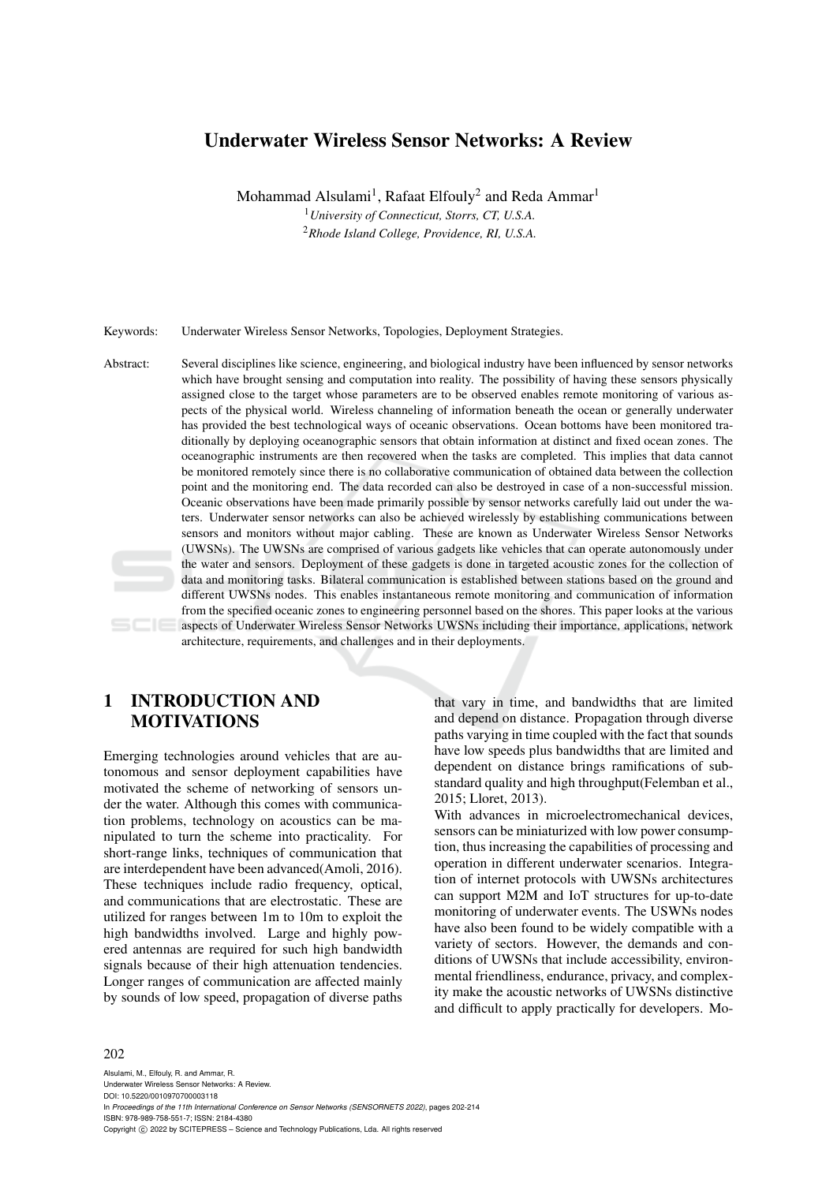# Underwater Wireless Sensor Networks: A Review

Mohammad Alsulami<sup>1</sup>, Rafaat Elfouly<sup>2</sup> and Reda Ammar<sup>1</sup> <sup>1</sup>*University of Connecticut, Storrs, CT, U.S.A.*

<sup>2</sup>*Rhode Island College, Providence, RI, U.S.A.*

Keywords: Underwater Wireless Sensor Networks, Topologies, Deployment Strategies.

Abstract: Several disciplines like science, engineering, and biological industry have been influenced by sensor networks which have brought sensing and computation into reality. The possibility of having these sensors physically assigned close to the target whose parameters are to be observed enables remote monitoring of various aspects of the physical world. Wireless channeling of information beneath the ocean or generally underwater has provided the best technological ways of oceanic observations. Ocean bottoms have been monitored traditionally by deploying oceanographic sensors that obtain information at distinct and fixed ocean zones. The oceanographic instruments are then recovered when the tasks are completed. This implies that data cannot be monitored remotely since there is no collaborative communication of obtained data between the collection point and the monitoring end. The data recorded can also be destroyed in case of a non-successful mission. Oceanic observations have been made primarily possible by sensor networks carefully laid out under the waters. Underwater sensor networks can also be achieved wirelessly by establishing communications between sensors and monitors without major cabling. These are known as Underwater Wireless Sensor Networks (UWSNs). The UWSNs are comprised of various gadgets like vehicles that can operate autonomously under the water and sensors. Deployment of these gadgets is done in targeted acoustic zones for the collection of data and monitoring tasks. Bilateral communication is established between stations based on the ground and different UWSNs nodes. This enables instantaneous remote monitoring and communication of information from the specified oceanic zones to engineering personnel based on the shores. This paper looks at the various aspects of Underwater Wireless Sensor Networks UWSNs including their importance, applications, network architecture, requirements, and challenges and in their deployments.

# 1 INTRODUCTION AND MOTIVATIONS

Emerging technologies around vehicles that are autonomous and sensor deployment capabilities have motivated the scheme of networking of sensors under the water. Although this comes with communication problems, technology on acoustics can be manipulated to turn the scheme into practicality. For short-range links, techniques of communication that are interdependent have been advanced(Amoli, 2016). These techniques include radio frequency, optical, and communications that are electrostatic. These are utilized for ranges between 1m to 10m to exploit the high bandwidths involved. Large and highly powered antennas are required for such high bandwidth signals because of their high attenuation tendencies. Longer ranges of communication are affected mainly by sounds of low speed, propagation of diverse paths

that vary in time, and bandwidths that are limited and depend on distance. Propagation through diverse paths varying in time coupled with the fact that sounds have low speeds plus bandwidths that are limited and dependent on distance brings ramifications of substandard quality and high throughput(Felemban et al., 2015; Lloret, 2013).

With advances in microelectromechanical devices, sensors can be miniaturized with low power consumption, thus increasing the capabilities of processing and operation in different underwater scenarios. Integration of internet protocols with UWSNs architectures can support M2M and IoT structures for up-to-date monitoring of underwater events. The USWNs nodes have also been found to be widely compatible with a variety of sectors. However, the demands and conditions of UWSNs that include accessibility, environmental friendliness, endurance, privacy, and complexity make the acoustic networks of UWSNs distinctive and difficult to apply practically for developers. Mo-

#### 202

Alsulami, M., Elfouly, R. and Ammar, R. Underwater Wireless Sensor Networks: A Review. DOI: 10.5220/0010970700003118 In *Proceedings of the 11th International Conference on Sensor Networks (SENSORNETS 2022)*, pages 202-214 ISBN: 978-989-758-551-7; ISSN: 2184-4380 Copyright (C) 2022 by SCITEPRESS - Science and Technology Publications, Lda. All rights reserved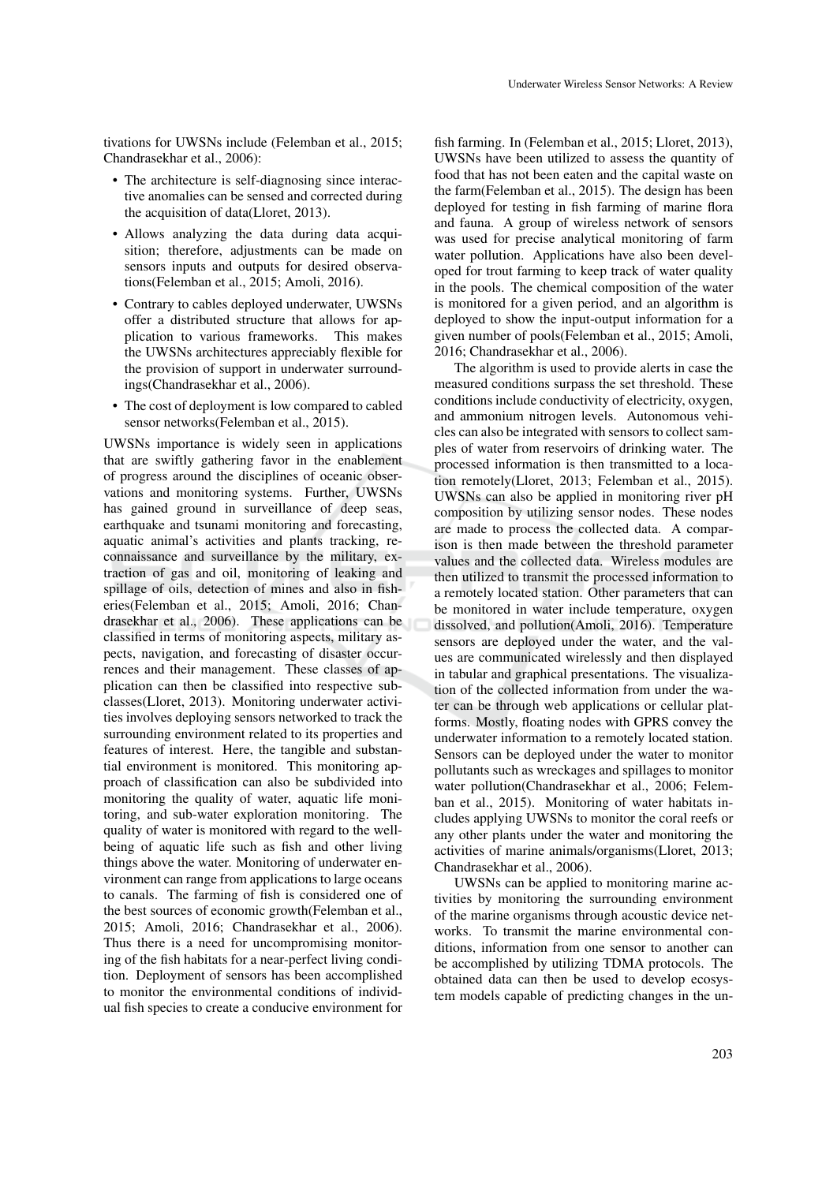tivations for UWSNs include (Felemban et al., 2015; Chandrasekhar et al., 2006):

- The architecture is self-diagnosing since interactive anomalies can be sensed and corrected during the acquisition of data(Lloret, 2013).
- Allows analyzing the data during data acquisition; therefore, adjustments can be made on sensors inputs and outputs for desired observations(Felemban et al., 2015; Amoli, 2016).
- Contrary to cables deployed underwater, UWSNs offer a distributed structure that allows for application to various frameworks. This makes the UWSNs architectures appreciably flexible for the provision of support in underwater surroundings(Chandrasekhar et al., 2006).
- The cost of deployment is low compared to cabled sensor networks(Felemban et al., 2015).

UWSNs importance is widely seen in applications that are swiftly gathering favor in the enablement of progress around the disciplines of oceanic observations and monitoring systems. Further, UWSNs has gained ground in surveillance of deep seas, earthquake and tsunami monitoring and forecasting, aquatic animal's activities and plants tracking, reconnaissance and surveillance by the military, extraction of gas and oil, monitoring of leaking and spillage of oils, detection of mines and also in fisheries(Felemban et al., 2015; Amoli, 2016; Chandrasekhar et al., 2006). These applications can be classified in terms of monitoring aspects, military aspects, navigation, and forecasting of disaster occurrences and their management. These classes of application can then be classified into respective subclasses(Lloret, 2013). Monitoring underwater activities involves deploying sensors networked to track the surrounding environment related to its properties and features of interest. Here, the tangible and substantial environment is monitored. This monitoring approach of classification can also be subdivided into monitoring the quality of water, aquatic life monitoring, and sub-water exploration monitoring. The quality of water is monitored with regard to the wellbeing of aquatic life such as fish and other living things above the water. Monitoring of underwater environment can range from applications to large oceans to canals. The farming of fish is considered one of the best sources of economic growth(Felemban et al., 2015; Amoli, 2016; Chandrasekhar et al., 2006). Thus there is a need for uncompromising monitoring of the fish habitats for a near-perfect living condition. Deployment of sensors has been accomplished to monitor the environmental conditions of individual fish species to create a conducive environment for

fish farming. In (Felemban et al., 2015; Lloret, 2013), UWSNs have been utilized to assess the quantity of food that has not been eaten and the capital waste on the farm(Felemban et al., 2015). The design has been deployed for testing in fish farming of marine flora and fauna. A group of wireless network of sensors was used for precise analytical monitoring of farm water pollution. Applications have also been developed for trout farming to keep track of water quality in the pools. The chemical composition of the water is monitored for a given period, and an algorithm is deployed to show the input-output information for a given number of pools(Felemban et al., 2015; Amoli, 2016; Chandrasekhar et al., 2006).

The algorithm is used to provide alerts in case the measured conditions surpass the set threshold. These conditions include conductivity of electricity, oxygen, and ammonium nitrogen levels. Autonomous vehicles can also be integrated with sensors to collect samples of water from reservoirs of drinking water. The processed information is then transmitted to a location remotely(Lloret, 2013; Felemban et al., 2015). UWSNs can also be applied in monitoring river pH composition by utilizing sensor nodes. These nodes are made to process the collected data. A comparison is then made between the threshold parameter values and the collected data. Wireless modules are then utilized to transmit the processed information to a remotely located station. Other parameters that can be monitored in water include temperature, oxygen dissolved, and pollution(Amoli, 2016). Temperature sensors are deployed under the water, and the values are communicated wirelessly and then displayed in tabular and graphical presentations. The visualization of the collected information from under the water can be through web applications or cellular platforms. Mostly, floating nodes with GPRS convey the underwater information to a remotely located station. Sensors can be deployed under the water to monitor pollutants such as wreckages and spillages to monitor water pollution(Chandrasekhar et al., 2006; Felemban et al., 2015). Monitoring of water habitats includes applying UWSNs to monitor the coral reefs or any other plants under the water and monitoring the activities of marine animals/organisms(Lloret, 2013; Chandrasekhar et al., 2006).

UWSNs can be applied to monitoring marine activities by monitoring the surrounding environment of the marine organisms through acoustic device networks. To transmit the marine environmental conditions, information from one sensor to another can be accomplished by utilizing TDMA protocols. The obtained data can then be used to develop ecosystem models capable of predicting changes in the un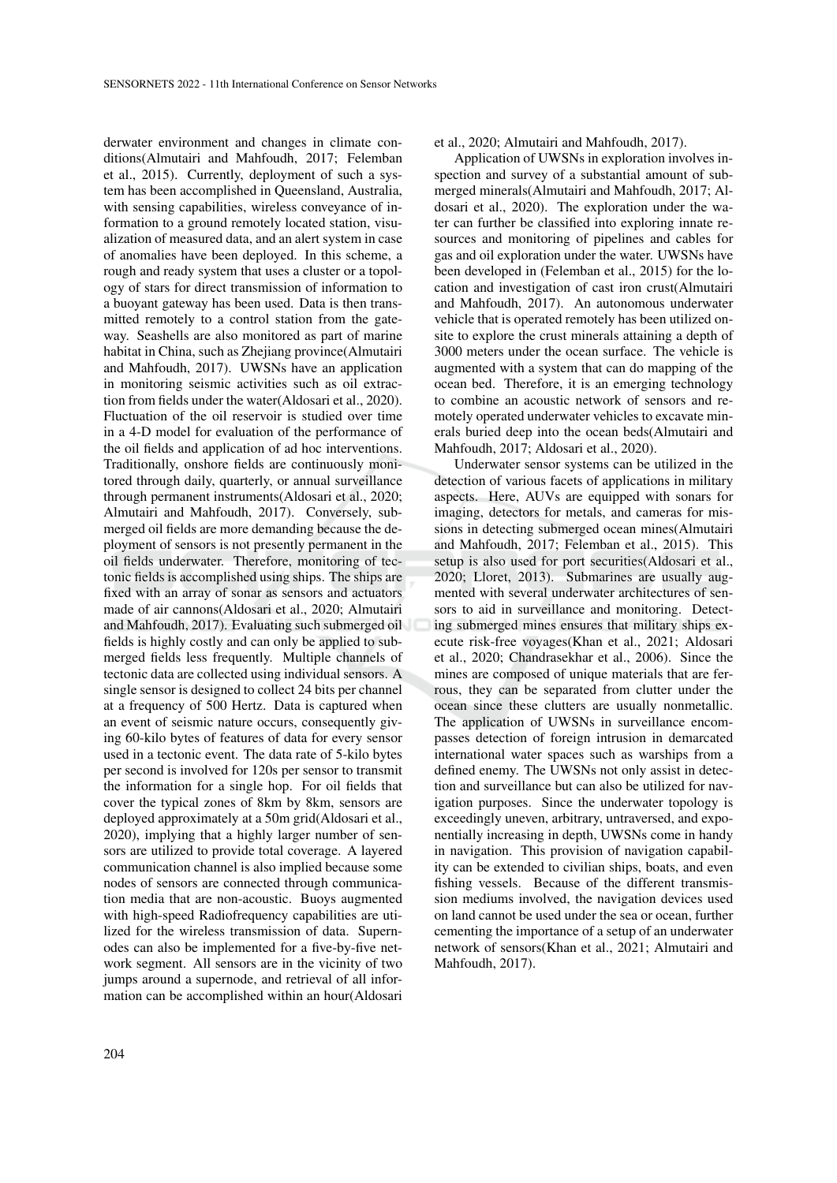derwater environment and changes in climate conditions(Almutairi and Mahfoudh, 2017; Felemban et al., 2015). Currently, deployment of such a system has been accomplished in Queensland, Australia, with sensing capabilities, wireless conveyance of information to a ground remotely located station, visualization of measured data, and an alert system in case of anomalies have been deployed. In this scheme, a rough and ready system that uses a cluster or a topology of stars for direct transmission of information to a buoyant gateway has been used. Data is then transmitted remotely to a control station from the gateway. Seashells are also monitored as part of marine habitat in China, such as Zhejiang province(Almutairi and Mahfoudh, 2017). UWSNs have an application in monitoring seismic activities such as oil extraction from fields under the water(Aldosari et al., 2020). Fluctuation of the oil reservoir is studied over time in a 4-D model for evaluation of the performance of the oil fields and application of ad hoc interventions. Traditionally, onshore fields are continuously monitored through daily, quarterly, or annual surveillance through permanent instruments(Aldosari et al., 2020; Almutairi and Mahfoudh, 2017). Conversely, submerged oil fields are more demanding because the deployment of sensors is not presently permanent in the oil fields underwater. Therefore, monitoring of tectonic fields is accomplished using ships. The ships are fixed with an array of sonar as sensors and actuators made of air cannons(Aldosari et al., 2020; Almutairi and Mahfoudh, 2017). Evaluating such submerged oil fields is highly costly and can only be applied to submerged fields less frequently. Multiple channels of tectonic data are collected using individual sensors. A single sensor is designed to collect 24 bits per channel at a frequency of 500 Hertz. Data is captured when an event of seismic nature occurs, consequently giving 60-kilo bytes of features of data for every sensor used in a tectonic event. The data rate of 5-kilo bytes per second is involved for 120s per sensor to transmit the information for a single hop. For oil fields that cover the typical zones of 8km by 8km, sensors are deployed approximately at a 50m grid(Aldosari et al., 2020), implying that a highly larger number of sensors are utilized to provide total coverage. A layered communication channel is also implied because some nodes of sensors are connected through communication media that are non-acoustic. Buoys augmented with high-speed Radiofrequency capabilities are utilized for the wireless transmission of data. Supernodes can also be implemented for a five-by-five network segment. All sensors are in the vicinity of two jumps around a supernode, and retrieval of all information can be accomplished within an hour(Aldosari

et al., 2020; Almutairi and Mahfoudh, 2017).

Application of UWSNs in exploration involves inspection and survey of a substantial amount of submerged minerals(Almutairi and Mahfoudh, 2017; Aldosari et al., 2020). The exploration under the water can further be classified into exploring innate resources and monitoring of pipelines and cables for gas and oil exploration under the water. UWSNs have been developed in (Felemban et al., 2015) for the location and investigation of cast iron crust(Almutairi and Mahfoudh, 2017). An autonomous underwater vehicle that is operated remotely has been utilized onsite to explore the crust minerals attaining a depth of 3000 meters under the ocean surface. The vehicle is augmented with a system that can do mapping of the ocean bed. Therefore, it is an emerging technology to combine an acoustic network of sensors and remotely operated underwater vehicles to excavate minerals buried deep into the ocean beds(Almutairi and Mahfoudh, 2017; Aldosari et al., 2020).

Underwater sensor systems can be utilized in the detection of various facets of applications in military aspects. Here, AUVs are equipped with sonars for imaging, detectors for metals, and cameras for missions in detecting submerged ocean mines(Almutairi and Mahfoudh, 2017; Felemban et al., 2015). This setup is also used for port securities(Aldosari et al., 2020; Lloret, 2013). Submarines are usually augmented with several underwater architectures of sensors to aid in surveillance and monitoring. Detecting submerged mines ensures that military ships execute risk-free voyages(Khan et al., 2021; Aldosari et al., 2020; Chandrasekhar et al., 2006). Since the mines are composed of unique materials that are ferrous, they can be separated from clutter under the ocean since these clutters are usually nonmetallic. The application of UWSNs in surveillance encompasses detection of foreign intrusion in demarcated international water spaces such as warships from a defined enemy. The UWSNs not only assist in detection and surveillance but can also be utilized for navigation purposes. Since the underwater topology is exceedingly uneven, arbitrary, untraversed, and exponentially increasing in depth, UWSNs come in handy in navigation. This provision of navigation capability can be extended to civilian ships, boats, and even fishing vessels. Because of the different transmission mediums involved, the navigation devices used on land cannot be used under the sea or ocean, further cementing the importance of a setup of an underwater network of sensors(Khan et al., 2021; Almutairi and Mahfoudh, 2017).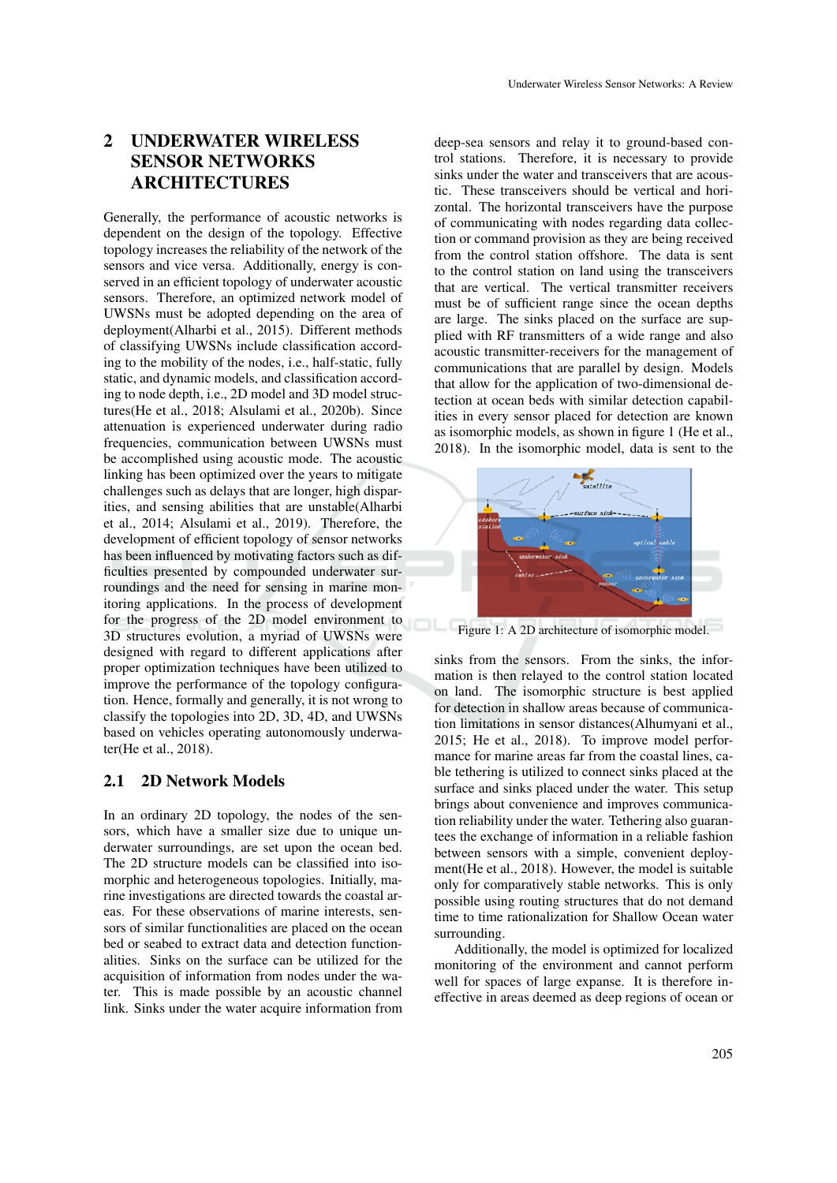# 2 UNDERWATER WIRELESS SENSOR NETWORKS ARCHITECTURES

Generally, the performance of acoustic networks is dependent on the design of the topology. Effective topology increases the reliability of the network of the sensors and vice versa. Additionally, energy is conserved in an efficient topology of underwater acoustic sensors. Therefore, an optimized network model of UWSNs must be adopted depending on the area of deployment(Alharbi et al., 2015). Different methods of classifying UWSNs include classification according to the mobility of the nodes, i.e., half-static, fully static, and dynamic models, and classification according to node depth, i.e., 2D model and 3D model structures(He et al., 2018; Alsulami et al., 2020b). Since attenuation is experienced underwater during radio frequencies, communication between UWSNs must be accomplished using acoustic mode. The acoustic linking has been optimized over the years to mitigate challenges such as delays that are longer, high disparities, and sensing abilities that are unstable(Alharbi et al., 2014; Alsulami et al., 2019). Therefore, the development of efficient topology of sensor networks has been influenced by motivating factors such as difficulties presented by compounded underwater surroundings and the need for sensing in marine monitoring applications. In the process of development for the progress of the 2D model environment to 3D structures evolution, a myriad of UWSNs were designed with regard to different applications after proper optimization techniques have been utilized to improve the performance of the topology configuration. Hence, formally and generally, it is not wrong to classify the topologies into 2D, 3D, 4D, and UWSNs based on vehicles operating autonomously underwater(He et al., 2018).

## 2.1 2D Network Models

In an ordinary 2D topology, the nodes of the sensors, which have a smaller size due to unique underwater surroundings, are set upon the ocean bed. The 2D structure models can be classified into isomorphic and heterogeneous topologies. Initially, marine investigations are directed towards the coastal areas. For these observations of marine interests, sensors of similar functionalities are placed on the ocean bed or seabed to extract data and detection functionalities. Sinks on the surface can be utilized for the acquisition of information from nodes under the water. This is made possible by an acoustic channel link. Sinks under the water acquire information from

deep-sea sensors and relay it to ground-based control stations. Therefore, it is necessary to provide sinks under the water and transceivers that are acoustic. These transceivers should be vertical and horizontal. The horizontal transceivers have the purpose of communicating with nodes regarding data collection or command provision as they are being received from the control station offshore. The data is sent to the control station on land using the transceivers that are vertical. The vertical transmitter receivers must be of sufficient range since the ocean depths are large. The sinks placed on the surface are supplied with RF transmitters of a wide range and also acoustic transmitter-receivers for the management of communications that are parallel by design. Models that allow for the application of two-dimensional detection at ocean beds with similar detection capabilities in every sensor placed for detection are known as isomorphic models, as shown in figure 1 (He et al., 2018). In the isomorphic model, data is sent to the



Figure 1: A 2D architecture of isomorphic model.

sinks from the sensors. From the sinks, the information is then relayed to the control station located on land. The isomorphic structure is best applied for detection in shallow areas because of communication limitations in sensor distances(Alhumyani et al., 2015; He et al., 2018). To improve model performance for marine areas far from the coastal lines, cable tethering is utilized to connect sinks placed at the surface and sinks placed under the water. This setup brings about convenience and improves communication reliability under the water. Tethering also guarantees the exchange of information in a reliable fashion between sensors with a simple, convenient deployment(He et al., 2018). However, the model is suitable only for comparatively stable networks. This is only possible using routing structures that do not demand time to time rationalization for Shallow Ocean water surrounding.

Additionally, the model is optimized for localized monitoring of the environment and cannot perform well for spaces of large expanse. It is therefore ineffective in areas deemed as deep regions of ocean or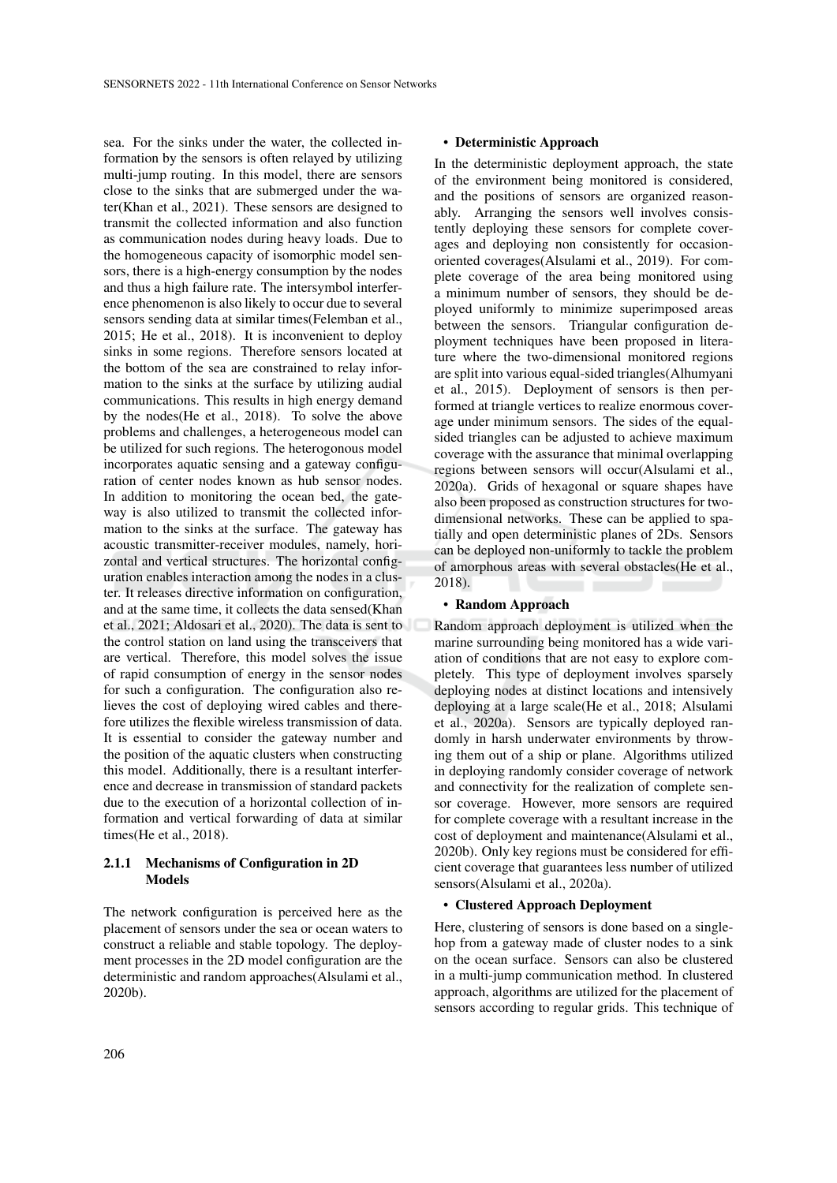sea. For the sinks under the water, the collected information by the sensors is often relayed by utilizing multi-jump routing. In this model, there are sensors close to the sinks that are submerged under the water(Khan et al., 2021). These sensors are designed to transmit the collected information and also function as communication nodes during heavy loads. Due to the homogeneous capacity of isomorphic model sensors, there is a high-energy consumption by the nodes and thus a high failure rate. The intersymbol interference phenomenon is also likely to occur due to several sensors sending data at similar times(Felemban et al., 2015; He et al., 2018). It is inconvenient to deploy sinks in some regions. Therefore sensors located at the bottom of the sea are constrained to relay information to the sinks at the surface by utilizing audial communications. This results in high energy demand by the nodes(He et al., 2018). To solve the above problems and challenges, a heterogeneous model can be utilized for such regions. The heterogonous model incorporates aquatic sensing and a gateway configuration of center nodes known as hub sensor nodes. In addition to monitoring the ocean bed, the gateway is also utilized to transmit the collected information to the sinks at the surface. The gateway has acoustic transmitter-receiver modules, namely, horizontal and vertical structures. The horizontal configuration enables interaction among the nodes in a cluster. It releases directive information on configuration, and at the same time, it collects the data sensed(Khan et al., 2021; Aldosari et al., 2020). The data is sent to the control station on land using the transceivers that are vertical. Therefore, this model solves the issue of rapid consumption of energy in the sensor nodes for such a configuration. The configuration also relieves the cost of deploying wired cables and therefore utilizes the flexible wireless transmission of data. It is essential to consider the gateway number and the position of the aquatic clusters when constructing this model. Additionally, there is a resultant interference and decrease in transmission of standard packets due to the execution of a horizontal collection of information and vertical forwarding of data at similar times(He et al., 2018).

#### 2.1.1 Mechanisms of Configuration in 2D Models

The network configuration is perceived here as the placement of sensors under the sea or ocean waters to construct a reliable and stable topology. The deployment processes in the 2D model configuration are the deterministic and random approaches(Alsulami et al., 2020b).

#### • Deterministic Approach

In the deterministic deployment approach, the state of the environment being monitored is considered, and the positions of sensors are organized reasonably. Arranging the sensors well involves consistently deploying these sensors for complete coverages and deploying non consistently for occasionoriented coverages(Alsulami et al., 2019). For complete coverage of the area being monitored using a minimum number of sensors, they should be deployed uniformly to minimize superimposed areas between the sensors. Triangular configuration deployment techniques have been proposed in literature where the two-dimensional monitored regions are split into various equal-sided triangles(Alhumyani et al., 2015). Deployment of sensors is then performed at triangle vertices to realize enormous coverage under minimum sensors. The sides of the equalsided triangles can be adjusted to achieve maximum coverage with the assurance that minimal overlapping regions between sensors will occur(Alsulami et al., 2020a). Grids of hexagonal or square shapes have also been proposed as construction structures for twodimensional networks. These can be applied to spatially and open deterministic planes of 2Ds. Sensors can be deployed non-uniformly to tackle the problem of amorphous areas with several obstacles(He et al., 2018).

#### • Random Approach

Random approach deployment is utilized when the marine surrounding being monitored has a wide variation of conditions that are not easy to explore completely. This type of deployment involves sparsely deploying nodes at distinct locations and intensively deploying at a large scale(He et al., 2018; Alsulami et al., 2020a). Sensors are typically deployed randomly in harsh underwater environments by throwing them out of a ship or plane. Algorithms utilized in deploying randomly consider coverage of network and connectivity for the realization of complete sensor coverage. However, more sensors are required for complete coverage with a resultant increase in the cost of deployment and maintenance(Alsulami et al., 2020b). Only key regions must be considered for efficient coverage that guarantees less number of utilized sensors(Alsulami et al., 2020a).

### • Clustered Approach Deployment

Here, clustering of sensors is done based on a singlehop from a gateway made of cluster nodes to a sink on the ocean surface. Sensors can also be clustered in a multi-jump communication method. In clustered approach, algorithms are utilized for the placement of sensors according to regular grids. This technique of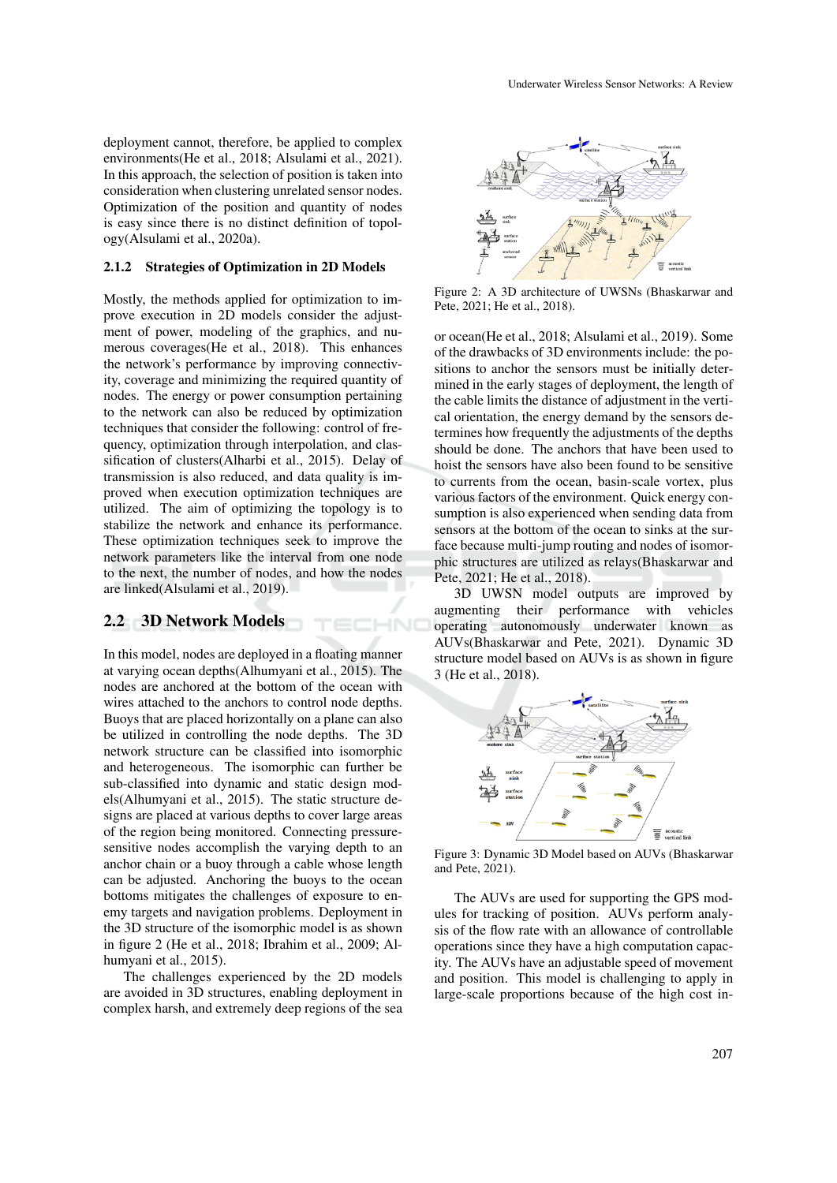deployment cannot, therefore, be applied to complex environments(He et al., 2018; Alsulami et al., 2021). In this approach, the selection of position is taken into consideration when clustering unrelated sensor nodes. Optimization of the position and quantity of nodes is easy since there is no distinct definition of topology(Alsulami et al., 2020a).

#### 2.1.2 Strategies of Optimization in 2D Models

Mostly, the methods applied for optimization to improve execution in 2D models consider the adjustment of power, modeling of the graphics, and numerous coverages(He et al., 2018). This enhances the network's performance by improving connectivity, coverage and minimizing the required quantity of nodes. The energy or power consumption pertaining to the network can also be reduced by optimization techniques that consider the following: control of frequency, optimization through interpolation, and classification of clusters(Alharbi et al., 2015). Delay of transmission is also reduced, and data quality is improved when execution optimization techniques are utilized. The aim of optimizing the topology is to stabilize the network and enhance its performance. These optimization techniques seek to improve the network parameters like the interval from one node to the next, the number of nodes, and how the nodes are linked(Alsulami et al., 2019).

ECHNO

## 2.2 3D Network Models

In this model, nodes are deployed in a floating manner at varying ocean depths(Alhumyani et al., 2015). The nodes are anchored at the bottom of the ocean with wires attached to the anchors to control node depths. Buoys that are placed horizontally on a plane can also be utilized in controlling the node depths. The 3D network structure can be classified into isomorphic and heterogeneous. The isomorphic can further be sub-classified into dynamic and static design models(Alhumyani et al., 2015). The static structure designs are placed at various depths to cover large areas of the region being monitored. Connecting pressuresensitive nodes accomplish the varying depth to an anchor chain or a buoy through a cable whose length can be adjusted. Anchoring the buoys to the ocean bottoms mitigates the challenges of exposure to enemy targets and navigation problems. Deployment in the 3D structure of the isomorphic model is as shown in figure 2 (He et al., 2018; Ibrahim et al., 2009; Alhumyani et al., 2015).

The challenges experienced by the 2D models are avoided in 3D structures, enabling deployment in complex harsh, and extremely deep regions of the sea



Figure 2: A 3D architecture of UWSNs (Bhaskarwar and Pete, 2021; He et al., 2018).

or ocean(He et al., 2018; Alsulami et al., 2019). Some of the drawbacks of 3D environments include: the positions to anchor the sensors must be initially determined in the early stages of deployment, the length of the cable limits the distance of adjustment in the vertical orientation, the energy demand by the sensors determines how frequently the adjustments of the depths should be done. The anchors that have been used to hoist the sensors have also been found to be sensitive to currents from the ocean, basin-scale vortex, plus various factors of the environment. Quick energy consumption is also experienced when sending data from sensors at the bottom of the ocean to sinks at the surface because multi-jump routing and nodes of isomorphic structures are utilized as relays(Bhaskarwar and Pete, 2021; He et al., 2018).

3D UWSN model outputs are improved by augmenting their performance with vehicles operating autonomously underwater known as AUVs(Bhaskarwar and Pete, 2021). Dynamic 3D structure model based on AUVs is as shown in figure 3 (He et al., 2018).



Figure 3: Dynamic 3D Model based on AUVs (Bhaskarwar and Pete, 2021).

The AUVs are used for supporting the GPS modules for tracking of position. AUVs perform analysis of the flow rate with an allowance of controllable operations since they have a high computation capacity. The AUVs have an adjustable speed of movement and position. This model is challenging to apply in large-scale proportions because of the high cost in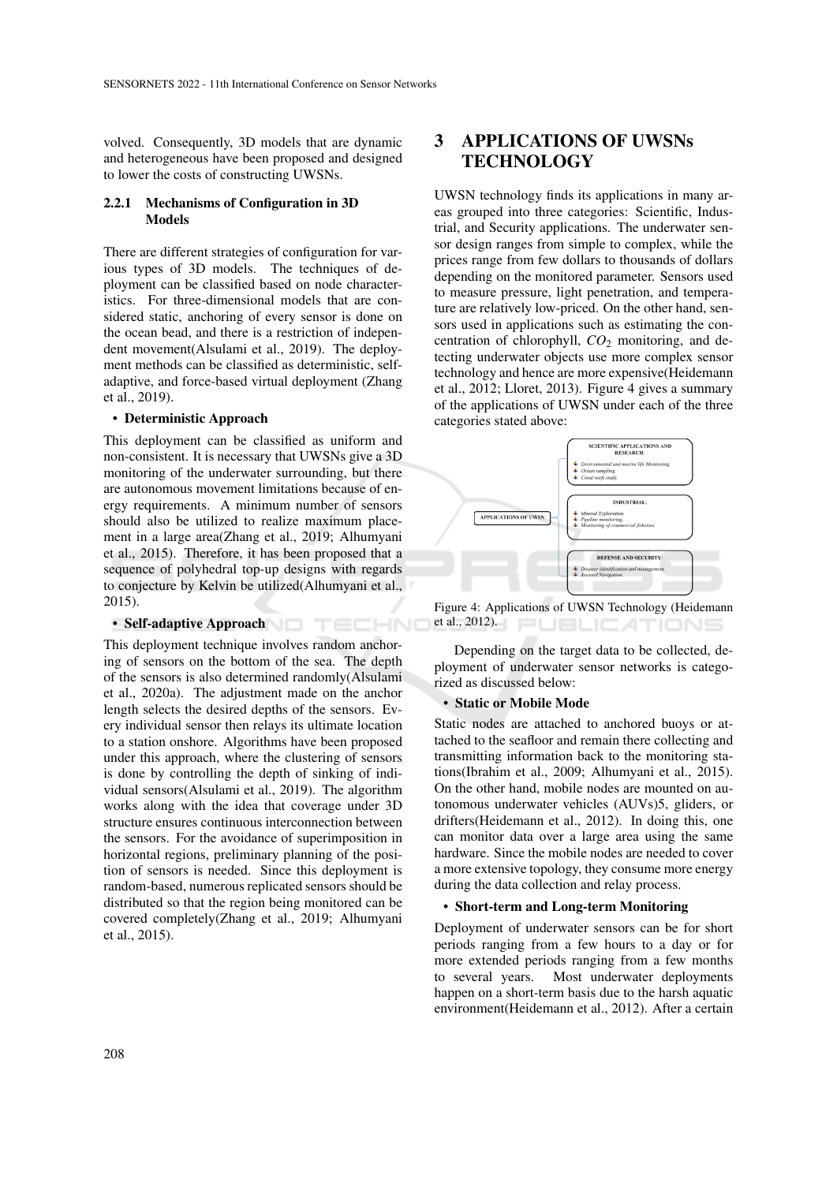volved. Consequently, 3D models that are dynamic and heterogeneous have been proposed and designed to lower the costs of constructing UWSNs.

## 2.2.1 Mechanisms of Configuration in 3D Models

There are different strategies of configuration for various types of 3D models. The techniques of deployment can be classified based on node characteristics. For three-dimensional models that are considered static, anchoring of every sensor is done on the ocean bead, and there is a restriction of independent movement(Alsulami et al., 2019). The deployment methods can be classified as deterministic, selfadaptive, and force-based virtual deployment (Zhang et al., 2019).

#### • Deterministic Approach

This deployment can be classified as uniform and non-consistent. It is necessary that UWSNs give a 3D monitoring of the underwater surrounding, but there are autonomous movement limitations because of energy requirements. A minimum number of sensors should also be utilized to realize maximum placement in a large area(Zhang et al., 2019; Alhumyani et al., 2015). Therefore, it has been proposed that a sequence of polyhedral top-up designs with regards to conjecture by Kelvin be utilized(Alhumyani et al., 2015).

## • Self-adaptive Approach **being the control of the Control**

This deployment technique involves random anchoring of sensors on the bottom of the sea. The depth of the sensors is also determined randomly(Alsulami et al., 2020a). The adjustment made on the anchor length selects the desired depths of the sensors. Every individual sensor then relays its ultimate location to a station onshore. Algorithms have been proposed under this approach, where the clustering of sensors is done by controlling the depth of sinking of individual sensors(Alsulami et al., 2019). The algorithm works along with the idea that coverage under 3D structure ensures continuous interconnection between the sensors. For the avoidance of superimposition in horizontal regions, preliminary planning of the position of sensors is needed. Since this deployment is random-based, numerous replicated sensors should be distributed so that the region being monitored can be covered completely(Zhang et al., 2019; Alhumyani et al., 2015).

# 3 APPLICATIONS OF UWSNs **TECHNOLOGY**

UWSN technology finds its applications in many areas grouped into three categories: Scientific, Industrial, and Security applications. The underwater sensor design ranges from simple to complex, while the prices range from few dollars to thousands of dollars depending on the monitored parameter. Sensors used to measure pressure, light penetration, and temperature are relatively low-priced. On the other hand, sensors used in applications such as estimating the concentration of chlorophyll, *CO*<sup>2</sup> monitoring, and detecting underwater objects use more complex sensor technology and hence are more expensive(Heidemann et al., 2012; Lloret, 2013). Figure 4 gives a summary of the applications of UWSN under each of the three categories stated above:



Figure 4: Applications of UWSN Technology (Heidemann et al., 2012). **JBLICATIONS** 

Depending on the target data to be collected, deployment of underwater sensor networks is categorized as discussed below:

#### • Static or Mobile Mode

Static nodes are attached to anchored buoys or attached to the seafloor and remain there collecting and transmitting information back to the monitoring stations(Ibrahim et al., 2009; Alhumyani et al., 2015). On the other hand, mobile nodes are mounted on autonomous underwater vehicles (AUVs)5, gliders, or drifters(Heidemann et al., 2012). In doing this, one can monitor data over a large area using the same hardware. Since the mobile nodes are needed to cover a more extensive topology, they consume more energy during the data collection and relay process.

#### • Short-term and Long-term Monitoring

Deployment of underwater sensors can be for short periods ranging from a few hours to a day or for more extended periods ranging from a few months to several years. Most underwater deployments happen on a short-term basis due to the harsh aquatic environment(Heidemann et al., 2012). After a certain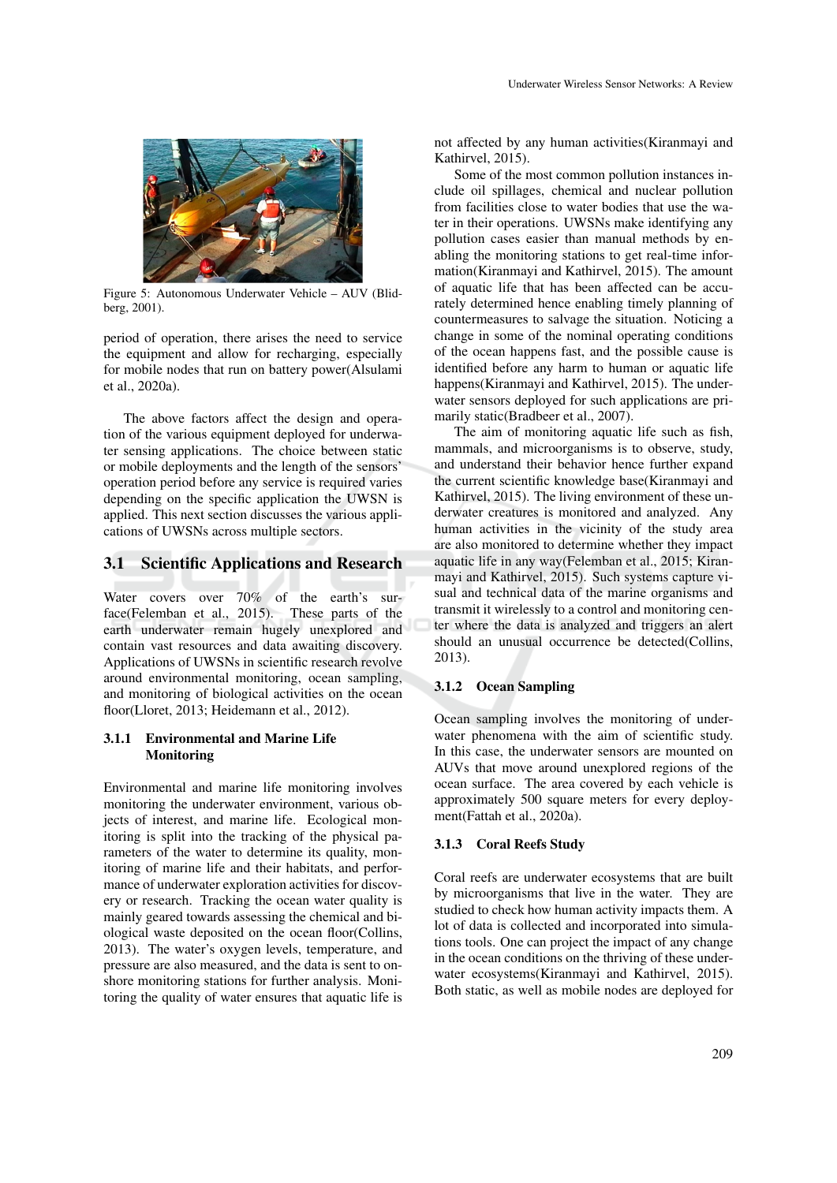

Figure 5: Autonomous Underwater Vehicle – AUV (Blidberg, 2001).

period of operation, there arises the need to service the equipment and allow for recharging, especially for mobile nodes that run on battery power(Alsulami et al., 2020a).

The above factors affect the design and operation of the various equipment deployed for underwater sensing applications. The choice between static or mobile deployments and the length of the sensors' operation period before any service is required varies depending on the specific application the UWSN is applied. This next section discusses the various applications of UWSNs across multiple sectors.

### 3.1 Scientific Applications and Research

Water covers over 70% of the earth's surface(Felemban et al., 2015). These parts of the earth underwater remain hugely unexplored and contain vast resources and data awaiting discovery. Applications of UWSNs in scientific research revolve around environmental monitoring, ocean sampling, and monitoring of biological activities on the ocean floor(Lloret, 2013; Heidemann et al., 2012).

### 3.1.1 Environmental and Marine Life Monitoring

Environmental and marine life monitoring involves monitoring the underwater environment, various objects of interest, and marine life. Ecological monitoring is split into the tracking of the physical parameters of the water to determine its quality, monitoring of marine life and their habitats, and performance of underwater exploration activities for discovery or research. Tracking the ocean water quality is mainly geared towards assessing the chemical and biological waste deposited on the ocean floor(Collins, 2013). The water's oxygen levels, temperature, and pressure are also measured, and the data is sent to onshore monitoring stations for further analysis. Monitoring the quality of water ensures that aquatic life is not affected by any human activities(Kiranmayi and Kathirvel, 2015).

Some of the most common pollution instances include oil spillages, chemical and nuclear pollution from facilities close to water bodies that use the water in their operations. UWSNs make identifying any pollution cases easier than manual methods by enabling the monitoring stations to get real-time information(Kiranmayi and Kathirvel, 2015). The amount of aquatic life that has been affected can be accurately determined hence enabling timely planning of countermeasures to salvage the situation. Noticing a change in some of the nominal operating conditions of the ocean happens fast, and the possible cause is identified before any harm to human or aquatic life happens(Kiranmayi and Kathirvel, 2015). The underwater sensors deployed for such applications are primarily static(Bradbeer et al., 2007).

The aim of monitoring aquatic life such as fish, mammals, and microorganisms is to observe, study, and understand their behavior hence further expand the current scientific knowledge base(Kiranmayi and Kathirvel, 2015). The living environment of these underwater creatures is monitored and analyzed. Any human activities in the vicinity of the study area are also monitored to determine whether they impact aquatic life in any way(Felemban et al., 2015; Kiranmayi and Kathirvel, 2015). Such systems capture visual and technical data of the marine organisms and transmit it wirelessly to a control and monitoring center where the data is analyzed and triggers an alert should an unusual occurrence be detected(Collins, 2013).

## 3.1.2 Ocean Sampling

Ocean sampling involves the monitoring of underwater phenomena with the aim of scientific study. In this case, the underwater sensors are mounted on AUVs that move around unexplored regions of the ocean surface. The area covered by each vehicle is approximately 500 square meters for every deployment(Fattah et al., 2020a).

#### 3.1.3 Coral Reefs Study

Coral reefs are underwater ecosystems that are built by microorganisms that live in the water. They are studied to check how human activity impacts them. A lot of data is collected and incorporated into simulations tools. One can project the impact of any change in the ocean conditions on the thriving of these underwater ecosystems(Kiranmayi and Kathirvel, 2015). Both static, as well as mobile nodes are deployed for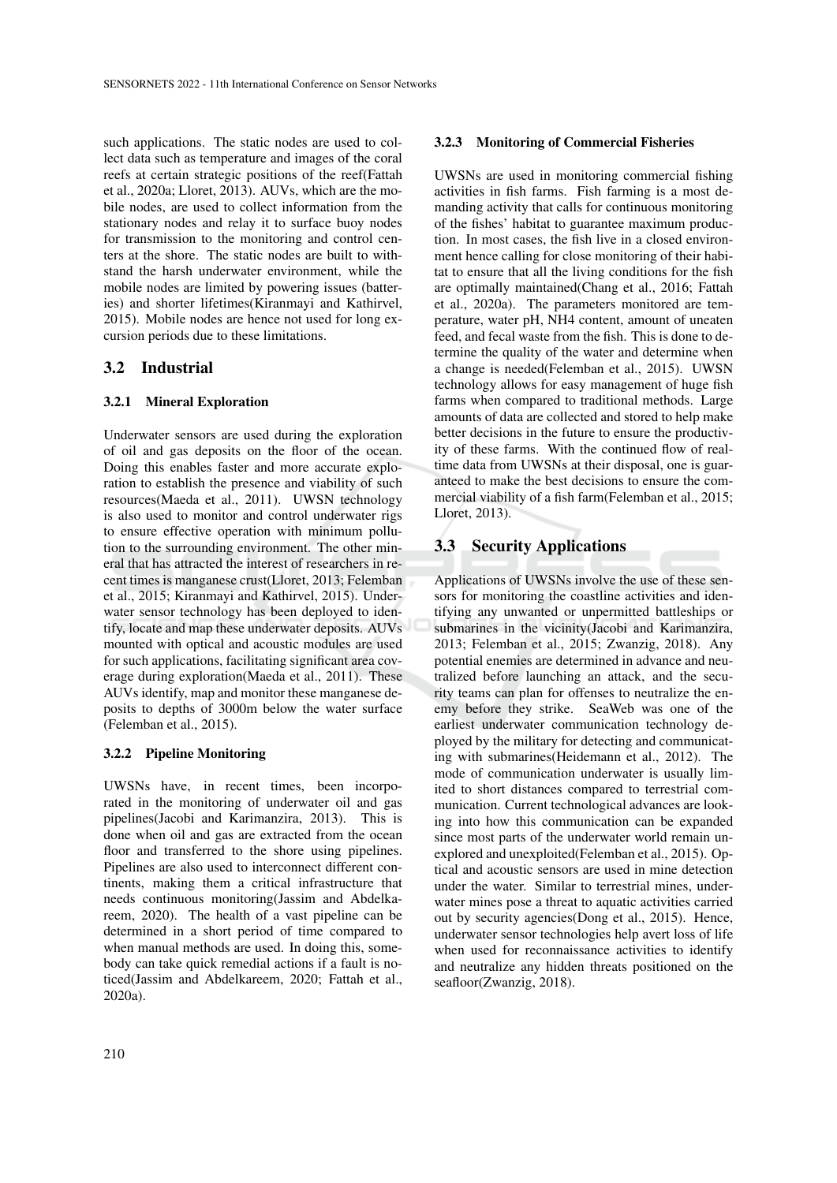such applications. The static nodes are used to collect data such as temperature and images of the coral reefs at certain strategic positions of the reef(Fattah et al., 2020a; Lloret, 2013). AUVs, which are the mobile nodes, are used to collect information from the stationary nodes and relay it to surface buoy nodes for transmission to the monitoring and control centers at the shore. The static nodes are built to withstand the harsh underwater environment, while the mobile nodes are limited by powering issues (batteries) and shorter lifetimes(Kiranmayi and Kathirvel, 2015). Mobile nodes are hence not used for long excursion periods due to these limitations.

## 3.2 Industrial

### 3.2.1 Mineral Exploration

Underwater sensors are used during the exploration of oil and gas deposits on the floor of the ocean. Doing this enables faster and more accurate exploration to establish the presence and viability of such resources(Maeda et al., 2011). UWSN technology is also used to monitor and control underwater rigs to ensure effective operation with minimum pollution to the surrounding environment. The other mineral that has attracted the interest of researchers in recent times is manganese crust(Lloret, 2013; Felemban et al., 2015; Kiranmayi and Kathirvel, 2015). Underwater sensor technology has been deployed to identify, locate and map these underwater deposits. AUVs mounted with optical and acoustic modules are used for such applications, facilitating significant area coverage during exploration(Maeda et al., 2011). These AUVs identify, map and monitor these manganese deposits to depths of 3000m below the water surface (Felemban et al., 2015).

#### 3.2.2 Pipeline Monitoring

UWSNs have, in recent times, been incorporated in the monitoring of underwater oil and gas pipelines(Jacobi and Karimanzira, 2013). This is done when oil and gas are extracted from the ocean floor and transferred to the shore using pipelines. Pipelines are also used to interconnect different continents, making them a critical infrastructure that needs continuous monitoring(Jassim and Abdelkareem, 2020). The health of a vast pipeline can be determined in a short period of time compared to when manual methods are used. In doing this, somebody can take quick remedial actions if a fault is noticed(Jassim and Abdelkareem, 2020; Fattah et al., 2020a).

## 3.2.3 Monitoring of Commercial Fisheries

UWSNs are used in monitoring commercial fishing activities in fish farms. Fish farming is a most demanding activity that calls for continuous monitoring of the fishes' habitat to guarantee maximum production. In most cases, the fish live in a closed environment hence calling for close monitoring of their habitat to ensure that all the living conditions for the fish are optimally maintained(Chang et al., 2016; Fattah et al., 2020a). The parameters monitored are temperature, water pH, NH4 content, amount of uneaten feed, and fecal waste from the fish. This is done to determine the quality of the water and determine when a change is needed(Felemban et al., 2015). UWSN technology allows for easy management of huge fish farms when compared to traditional methods. Large amounts of data are collected and stored to help make better decisions in the future to ensure the productivity of these farms. With the continued flow of realtime data from UWSNs at their disposal, one is guaranteed to make the best decisions to ensure the commercial viability of a fish farm(Felemban et al., 2015; Lloret, 2013).

## 3.3 Security Applications

Applications of UWSNs involve the use of these sensors for monitoring the coastline activities and identifying any unwanted or unpermitted battleships or submarines in the vicinity(Jacobi and Karimanzira, 2013; Felemban et al., 2015; Zwanzig, 2018). Any potential enemies are determined in advance and neutralized before launching an attack, and the security teams can plan for offenses to neutralize the enemy before they strike. SeaWeb was one of the earliest underwater communication technology deployed by the military for detecting and communicating with submarines(Heidemann et al., 2012). The mode of communication underwater is usually limited to short distances compared to terrestrial communication. Current technological advances are looking into how this communication can be expanded since most parts of the underwater world remain unexplored and unexploited(Felemban et al., 2015). Optical and acoustic sensors are used in mine detection under the water. Similar to terrestrial mines, underwater mines pose a threat to aquatic activities carried out by security agencies(Dong et al., 2015). Hence, underwater sensor technologies help avert loss of life when used for reconnaissance activities to identify and neutralize any hidden threats positioned on the seafloor(Zwanzig, 2018).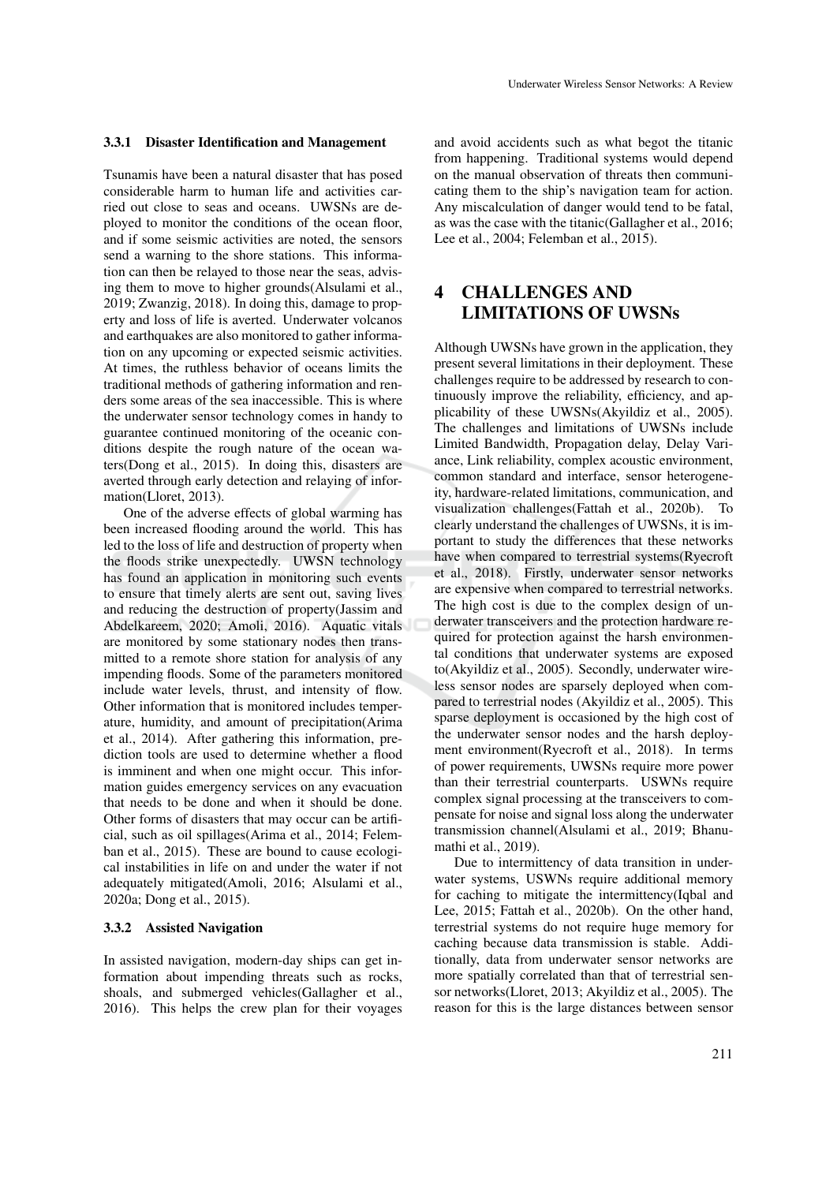#### 3.3.1 Disaster Identification and Management

Tsunamis have been a natural disaster that has posed considerable harm to human life and activities carried out close to seas and oceans. UWSNs are deployed to monitor the conditions of the ocean floor, and if some seismic activities are noted, the sensors send a warning to the shore stations. This information can then be relayed to those near the seas, advising them to move to higher grounds(Alsulami et al., 2019; Zwanzig, 2018). In doing this, damage to property and loss of life is averted. Underwater volcanos and earthquakes are also monitored to gather information on any upcoming or expected seismic activities. At times, the ruthless behavior of oceans limits the traditional methods of gathering information and renders some areas of the sea inaccessible. This is where the underwater sensor technology comes in handy to guarantee continued monitoring of the oceanic conditions despite the rough nature of the ocean waters(Dong et al., 2015). In doing this, disasters are averted through early detection and relaying of information(Lloret, 2013).

One of the adverse effects of global warming has been increased flooding around the world. This has led to the loss of life and destruction of property when the floods strike unexpectedly. UWSN technology has found an application in monitoring such events to ensure that timely alerts are sent out, saving lives and reducing the destruction of property(Jassim and Abdelkareem, 2020; Amoli, 2016). Aquatic vitals are monitored by some stationary nodes then transmitted to a remote shore station for analysis of any impending floods. Some of the parameters monitored include water levels, thrust, and intensity of flow. Other information that is monitored includes temperature, humidity, and amount of precipitation(Arima et al., 2014). After gathering this information, prediction tools are used to determine whether a flood is imminent and when one might occur. This information guides emergency services on any evacuation that needs to be done and when it should be done. Other forms of disasters that may occur can be artificial, such as oil spillages(Arima et al., 2014; Felemban et al., 2015). These are bound to cause ecological instabilities in life on and under the water if not adequately mitigated(Amoli, 2016; Alsulami et al., 2020a; Dong et al., 2015).

#### 3.3.2 Assisted Navigation

In assisted navigation, modern-day ships can get information about impending threats such as rocks, shoals, and submerged vehicles(Gallagher et al., 2016). This helps the crew plan for their voyages

and avoid accidents such as what begot the titanic from happening. Traditional systems would depend on the manual observation of threats then communicating them to the ship's navigation team for action. Any miscalculation of danger would tend to be fatal, as was the case with the titanic(Gallagher et al., 2016; Lee et al., 2004; Felemban et al., 2015).

## 4 CHALLENGES AND LIMITATIONS OF UWSNs

Although UWSNs have grown in the application, they present several limitations in their deployment. These challenges require to be addressed by research to continuously improve the reliability, efficiency, and applicability of these UWSNs(Akyildiz et al., 2005). The challenges and limitations of UWSNs include Limited Bandwidth, Propagation delay, Delay Variance, Link reliability, complex acoustic environment, common standard and interface, sensor heterogeneity, hardware-related limitations, communication, and visualization challenges(Fattah et al., 2020b). To clearly understand the challenges of UWSNs, it is important to study the differences that these networks have when compared to terrestrial systems(Ryecroft et al., 2018). Firstly, underwater sensor networks are expensive when compared to terrestrial networks. The high cost is due to the complex design of underwater transceivers and the protection hardware required for protection against the harsh environmental conditions that underwater systems are exposed to(Akyildiz et al., 2005). Secondly, underwater wireless sensor nodes are sparsely deployed when compared to terrestrial nodes (Akyildiz et al., 2005). This sparse deployment is occasioned by the high cost of the underwater sensor nodes and the harsh deployment environment(Ryecroft et al., 2018). In terms of power requirements, UWSNs require more power than their terrestrial counterparts. USWNs require complex signal processing at the transceivers to compensate for noise and signal loss along the underwater transmission channel(Alsulami et al., 2019; Bhanumathi et al., 2019).

Due to intermittency of data transition in underwater systems, USWNs require additional memory for caching to mitigate the intermittency(Iqbal and Lee, 2015; Fattah et al., 2020b). On the other hand, terrestrial systems do not require huge memory for caching because data transmission is stable. Additionally, data from underwater sensor networks are more spatially correlated than that of terrestrial sensor networks(Lloret, 2013; Akyildiz et al., 2005). The reason for this is the large distances between sensor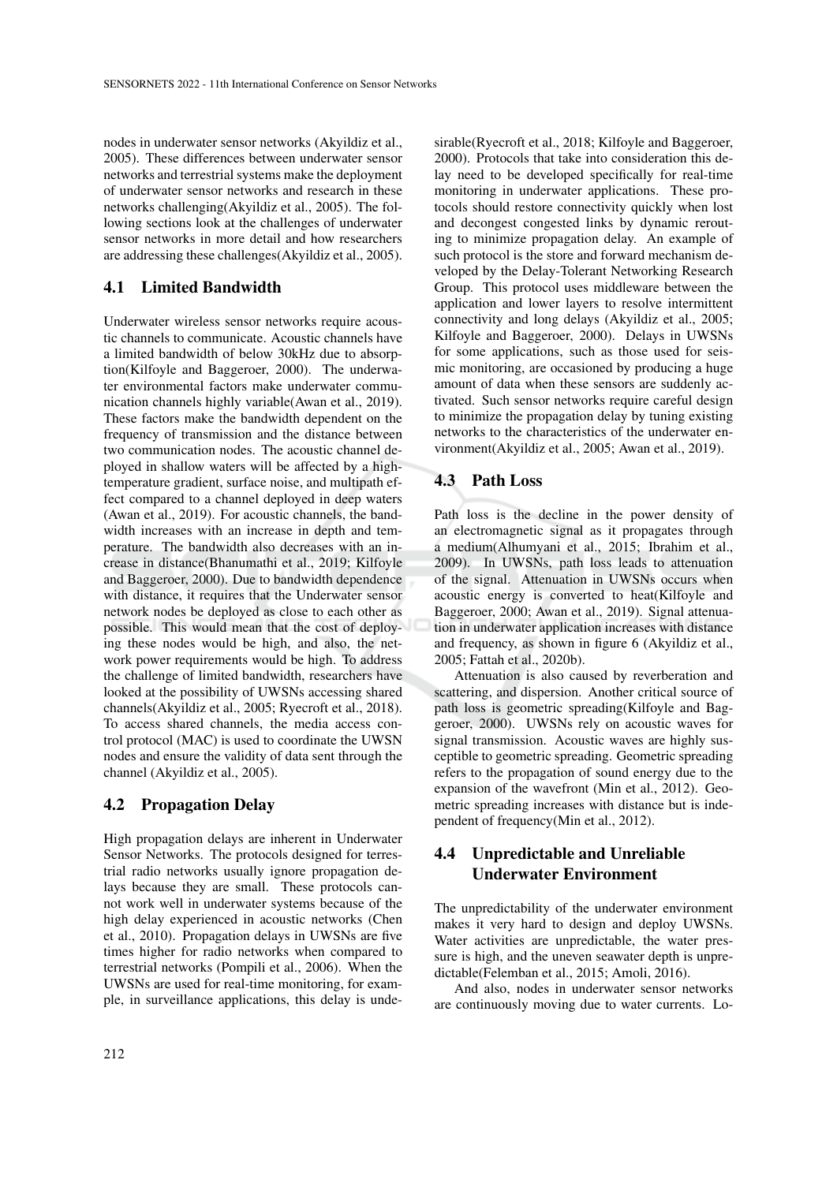nodes in underwater sensor networks (Akyildiz et al., 2005). These differences between underwater sensor networks and terrestrial systems make the deployment of underwater sensor networks and research in these networks challenging(Akyildiz et al., 2005). The following sections look at the challenges of underwater sensor networks in more detail and how researchers are addressing these challenges(Akyildiz et al., 2005).

## 4.1 Limited Bandwidth

Underwater wireless sensor networks require acoustic channels to communicate. Acoustic channels have a limited bandwidth of below 30kHz due to absorption(Kilfoyle and Baggeroer, 2000). The underwater environmental factors make underwater communication channels highly variable(Awan et al., 2019). These factors make the bandwidth dependent on the frequency of transmission and the distance between two communication nodes. The acoustic channel deployed in shallow waters will be affected by a hightemperature gradient, surface noise, and multipath effect compared to a channel deployed in deep waters (Awan et al., 2019). For acoustic channels, the bandwidth increases with an increase in depth and temperature. The bandwidth also decreases with an increase in distance(Bhanumathi et al., 2019; Kilfoyle and Baggeroer, 2000). Due to bandwidth dependence with distance, it requires that the Underwater sensor network nodes be deployed as close to each other as possible. This would mean that the cost of deploying these nodes would be high, and also, the network power requirements would be high. To address the challenge of limited bandwidth, researchers have looked at the possibility of UWSNs accessing shared channels(Akyildiz et al., 2005; Ryecroft et al., 2018). To access shared channels, the media access control protocol (MAC) is used to coordinate the UWSN nodes and ensure the validity of data sent through the channel (Akyildiz et al., 2005).

## 4.2 Propagation Delay

High propagation delays are inherent in Underwater Sensor Networks. The protocols designed for terrestrial radio networks usually ignore propagation delays because they are small. These protocols cannot work well in underwater systems because of the high delay experienced in acoustic networks (Chen et al., 2010). Propagation delays in UWSNs are five times higher for radio networks when compared to terrestrial networks (Pompili et al., 2006). When the UWSNs are used for real-time monitoring, for example, in surveillance applications, this delay is unde-

sirable(Ryecroft et al., 2018; Kilfoyle and Baggeroer, 2000). Protocols that take into consideration this delay need to be developed specifically for real-time monitoring in underwater applications. These protocols should restore connectivity quickly when lost and decongest congested links by dynamic rerouting to minimize propagation delay. An example of such protocol is the store and forward mechanism developed by the Delay-Tolerant Networking Research Group. This protocol uses middleware between the application and lower layers to resolve intermittent connectivity and long delays (Akyildiz et al., 2005; Kilfoyle and Baggeroer, 2000). Delays in UWSNs for some applications, such as those used for seismic monitoring, are occasioned by producing a huge amount of data when these sensors are suddenly activated. Such sensor networks require careful design to minimize the propagation delay by tuning existing networks to the characteristics of the underwater environment(Akyildiz et al., 2005; Awan et al., 2019).

### 4.3 Path Loss

Path loss is the decline in the power density of an electromagnetic signal as it propagates through a medium(Alhumyani et al., 2015; Ibrahim et al., 2009). In UWSNs, path loss leads to attenuation of the signal. Attenuation in UWSNs occurs when acoustic energy is converted to heat(Kilfoyle and Baggeroer, 2000; Awan et al., 2019). Signal attenuation in underwater application increases with distance and frequency, as shown in figure 6 (Akyildiz et al., 2005; Fattah et al., 2020b).

Attenuation is also caused by reverberation and scattering, and dispersion. Another critical source of path loss is geometric spreading(Kilfoyle and Baggeroer, 2000). UWSNs rely on acoustic waves for signal transmission. Acoustic waves are highly susceptible to geometric spreading. Geometric spreading refers to the propagation of sound energy due to the expansion of the wavefront (Min et al., 2012). Geometric spreading increases with distance but is independent of frequency(Min et al., 2012).

## 4.4 Unpredictable and Unreliable Underwater Environment

The unpredictability of the underwater environment makes it very hard to design and deploy UWSNs. Water activities are unpredictable, the water pressure is high, and the uneven seawater depth is unpredictable(Felemban et al., 2015; Amoli, 2016).

And also, nodes in underwater sensor networks are continuously moving due to water currents. Lo-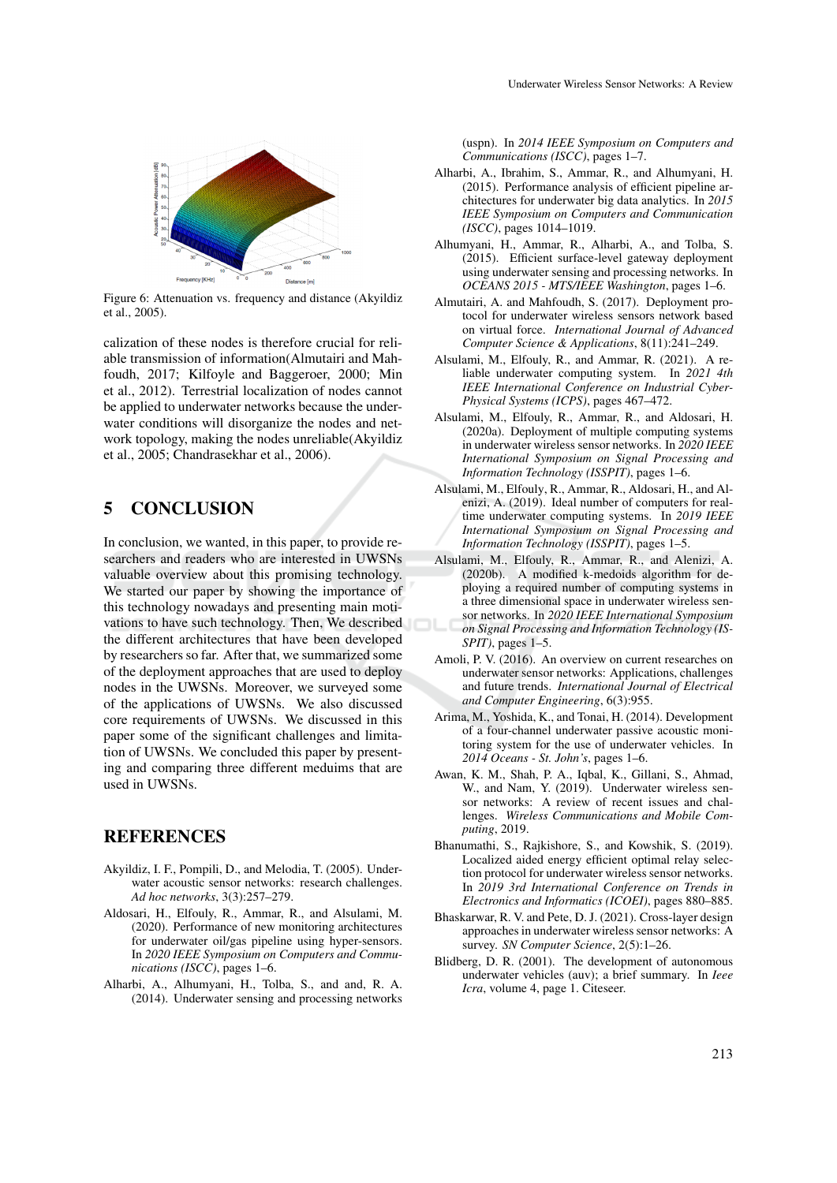

Figure 6: Attenuation vs. frequency and distance (Akyildiz et al., 2005).

calization of these nodes is therefore crucial for reliable transmission of information(Almutairi and Mahfoudh, 2017; Kilfoyle and Baggeroer, 2000; Min et al., 2012). Terrestrial localization of nodes cannot be applied to underwater networks because the underwater conditions will disorganize the nodes and network topology, making the nodes unreliable(Akyildiz et al., 2005; Chandrasekhar et al., 2006).

## 5 CONCLUSION

In conclusion, we wanted, in this paper, to provide researchers and readers who are interested in UWSNs valuable overview about this promising technology. We started our paper by showing the importance of this technology nowadays and presenting main motivations to have such technology. Then, We described the different architectures that have been developed by researchers so far. After that, we summarized some of the deployment approaches that are used to deploy nodes in the UWSNs. Moreover, we surveyed some of the applications of UWSNs. We also discussed core requirements of UWSNs. We discussed in this paper some of the significant challenges and limitation of UWSNs. We concluded this paper by presenting and comparing three different meduims that are used in UWSNs.

## **REFERENCES**

- Akyildiz, I. F., Pompili, D., and Melodia, T. (2005). Underwater acoustic sensor networks: research challenges. *Ad hoc networks*, 3(3):257–279.
- Aldosari, H., Elfouly, R., Ammar, R., and Alsulami, M. (2020). Performance of new monitoring architectures for underwater oil/gas pipeline using hyper-sensors. In *2020 IEEE Symposium on Computers and Communications (ISCC)*, pages 1–6.
- Alharbi, A., Alhumyani, H., Tolba, S., and and, R. A. (2014). Underwater sensing and processing networks

(uspn). In *2014 IEEE Symposium on Computers and Communications (ISCC)*, pages 1–7.

- Alharbi, A., Ibrahim, S., Ammar, R., and Alhumyani, H. (2015). Performance analysis of efficient pipeline architectures for underwater big data analytics. In *2015 IEEE Symposium on Computers and Communication (ISCC)*, pages 1014–1019.
- Alhumyani, H., Ammar, R., Alharbi, A., and Tolba, S. (2015). Efficient surface-level gateway deployment using underwater sensing and processing networks. In *OCEANS 2015 - MTS/IEEE Washington*, pages 1–6.
- Almutairi, A. and Mahfoudh, S. (2017). Deployment protocol for underwater wireless sensors network based on virtual force. *International Journal of Advanced Computer Science & Applications*, 8(11):241–249.
- Alsulami, M., Elfouly, R., and Ammar, R. (2021). A reliable underwater computing system. In *2021 4th IEEE International Conference on Industrial Cyber-Physical Systems (ICPS)*, pages 467–472.
- Alsulami, M., Elfouly, R., Ammar, R., and Aldosari, H. (2020a). Deployment of multiple computing systems in underwater wireless sensor networks. In *2020 IEEE International Symposium on Signal Processing and Information Technology (ISSPIT)*, pages 1–6.
- Alsulami, M., Elfouly, R., Ammar, R., Aldosari, H., and Alenizi, A. (2019). Ideal number of computers for realtime underwater computing systems. In *2019 IEEE International Symposium on Signal Processing and Information Technology (ISSPIT)*, pages 1–5.
- Alsulami, M., Elfouly, R., Ammar, R., and Alenizi, A. (2020b). A modified k-medoids algorithm for deploying a required number of computing systems in a three dimensional space in underwater wireless sensor networks. In *2020 IEEE International Symposium on Signal Processing and Information Technology (IS-SPIT)*, pages 1–5.
- Amoli, P. V. (2016). An overview on current researches on underwater sensor networks: Applications, challenges and future trends. *International Journal of Electrical and Computer Engineering*, 6(3):955.
- Arima, M., Yoshida, K., and Tonai, H. (2014). Development of a four-channel underwater passive acoustic monitoring system for the use of underwater vehicles. In *2014 Oceans - St. John's*, pages 1–6.
- Awan, K. M., Shah, P. A., Iqbal, K., Gillani, S., Ahmad, W., and Nam, Y. (2019). Underwater wireless sensor networks: A review of recent issues and challenges. *Wireless Communications and Mobile Computing*, 2019.
- Bhanumathi, S., Rajkishore, S., and Kowshik, S. (2019). Localized aided energy efficient optimal relay selection protocol for underwater wireless sensor networks. In *2019 3rd International Conference on Trends in Electronics and Informatics (ICOEI)*, pages 880–885.
- Bhaskarwar, R. V. and Pete, D. J. (2021). Cross-layer design approaches in underwater wireless sensor networks: A survey. *SN Computer Science*, 2(5):1–26.
- Blidberg, D. R. (2001). The development of autonomous underwater vehicles (auv); a brief summary. In *Ieee Icra*, volume 4, page 1. Citeseer.